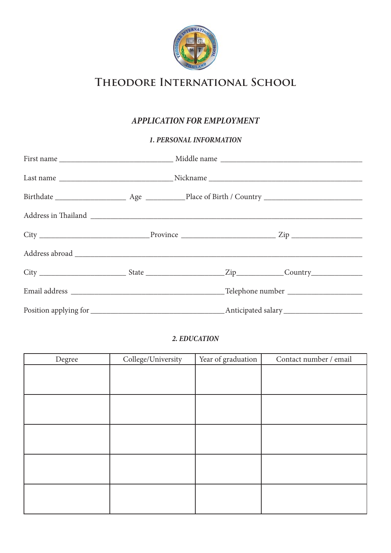

# **Theodore International School**

## **APPLICATION FOR EMPLOYMENT**

### **1. PERSONAL INFORMATION**

#### **2. EDUCATION**

| Degree | College/University | Year of graduation | Contact number / email |
|--------|--------------------|--------------------|------------------------|
|        |                    |                    |                        |
|        |                    |                    |                        |
|        |                    |                    |                        |
|        |                    |                    |                        |
|        |                    |                    |                        |
|        |                    |                    |                        |
|        |                    |                    |                        |
|        |                    |                    |                        |
|        |                    |                    |                        |
|        |                    |                    |                        |
|        |                    |                    |                        |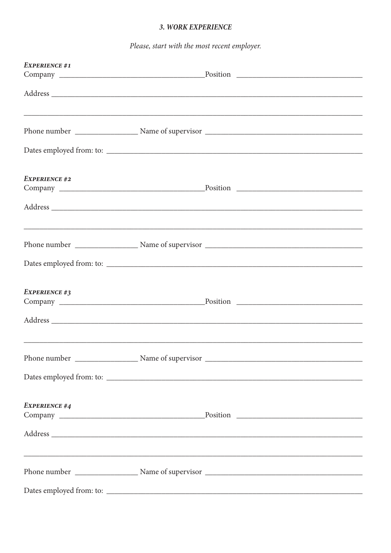### 3. WORK EXPERIENCE

Please, start with the most recent employer.

| <b>EXPERIENCE #1</b> |  |
|----------------------|--|
|                      |  |
|                      |  |
|                      |  |
|                      |  |
| <b>EXPERIENCE #2</b> |  |
|                      |  |
|                      |  |
|                      |  |
| <b>EXPERIENCE #3</b> |  |
|                      |  |
|                      |  |
|                      |  |
| <b>EXPERIENCE #4</b> |  |
|                      |  |
|                      |  |
|                      |  |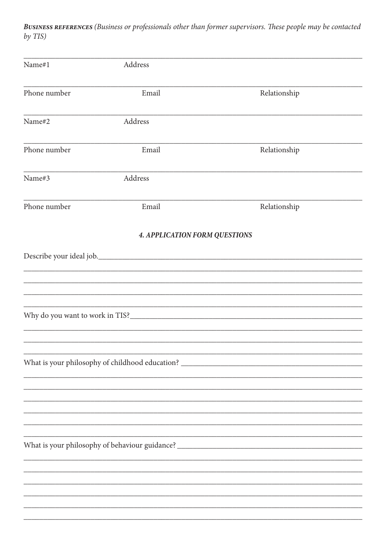BUSINESS REFERENCES (Business or professionals other than former supervisors. These people may be contacted by TIS)

| Name#1       | Address                                                                           |              |  |
|--------------|-----------------------------------------------------------------------------------|--------------|--|
| Phone number | Email                                                                             | Relationship |  |
| Name#2       | Address                                                                           |              |  |
| Phone number | Email                                                                             | Relationship |  |
| Name#3       | Address                                                                           |              |  |
| Phone number | Email                                                                             | Relationship |  |
|              | <b>4. APPLICATION FORM QUESTIONS</b>                                              |              |  |
|              |                                                                                   |              |  |
|              |                                                                                   |              |  |
|              |                                                                                   |              |  |
|              |                                                                                   |              |  |
|              |                                                                                   |              |  |
|              |                                                                                   |              |  |
|              |                                                                                   |              |  |
|              | What is your philosophy of childhood education? ________________________________  |              |  |
|              |                                                                                   |              |  |
|              |                                                                                   |              |  |
|              |                                                                                   |              |  |
|              |                                                                                   |              |  |
|              |                                                                                   |              |  |
|              | What is your philosophy of behaviour guidance? __________________________________ |              |  |
|              |                                                                                   |              |  |
|              |                                                                                   |              |  |
|              |                                                                                   |              |  |
|              |                                                                                   |              |  |
|              |                                                                                   |              |  |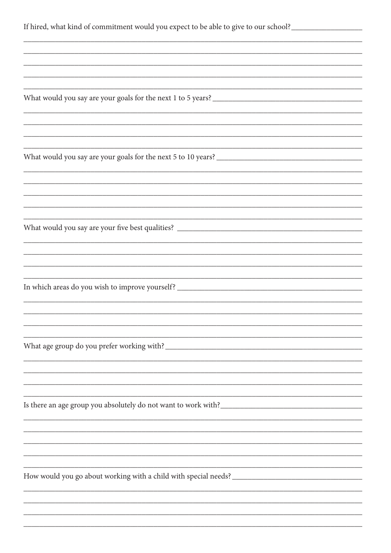| If hired, what kind of commitment would you expect to be able to give to our school?________________ |
|------------------------------------------------------------------------------------------------------|
|                                                                                                      |
|                                                                                                      |
|                                                                                                      |
|                                                                                                      |
|                                                                                                      |
|                                                                                                      |
|                                                                                                      |
|                                                                                                      |
|                                                                                                      |
|                                                                                                      |
|                                                                                                      |
|                                                                                                      |
|                                                                                                      |
|                                                                                                      |
|                                                                                                      |
|                                                                                                      |
|                                                                                                      |
|                                                                                                      |
| In which areas do you wish to improve yourself? _________________________________                    |
|                                                                                                      |
|                                                                                                      |
|                                                                                                      |
|                                                                                                      |
|                                                                                                      |
|                                                                                                      |
|                                                                                                      |
|                                                                                                      |
|                                                                                                      |
|                                                                                                      |
|                                                                                                      |
|                                                                                                      |
|                                                                                                      |
|                                                                                                      |
|                                                                                                      |
|                                                                                                      |